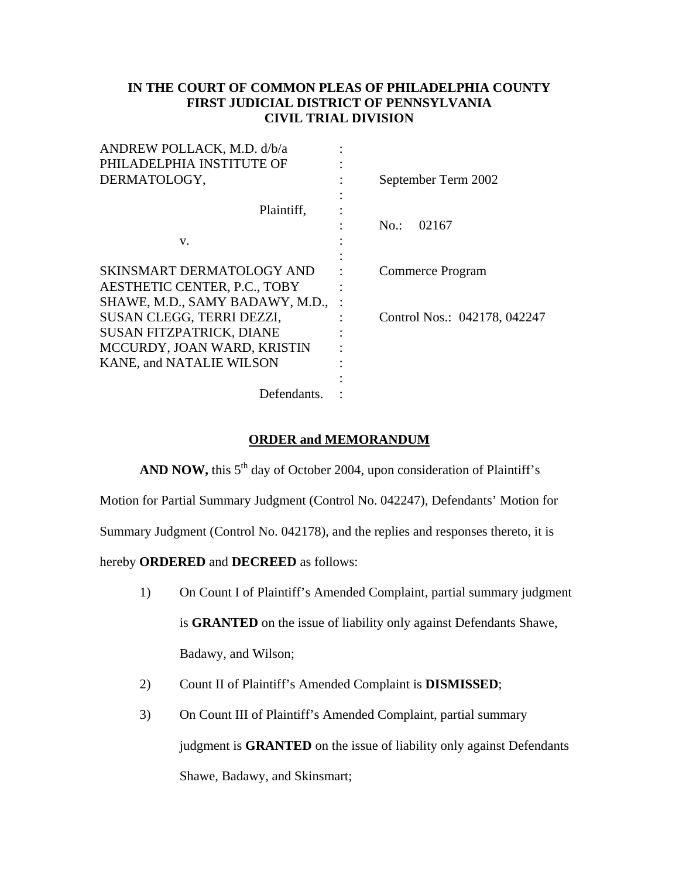## **IN THE COURT OF COMMON PLEAS OF PHILADELPHIA COUNTY FIRST JUDICIAL DISTRICT OF PENNSYLVANIA CIVIL TRIAL DIVISION**

| September Term 2002          |
|------------------------------|
|                              |
|                              |
| $No.$ :<br>02167             |
|                              |
|                              |
| Commerce Program             |
|                              |
|                              |
| Control Nos.: 042178, 042247 |
|                              |
|                              |
|                              |
|                              |
|                              |
|                              |

## **ORDER and MEMORANDUM**

AND NOW, this 5<sup>th</sup> day of October 2004, upon consideration of Plaintiff's

Motion for Partial Summary Judgment (Control No. 042247), Defendants' Motion for

Summary Judgment (Control No. 042178), and the replies and responses thereto, it is

hereby **ORDERED** and **DECREED** as follows:

- 1) On Count I of Plaintiff's Amended Complaint, partial summary judgment is **GRANTED** on the issue of liability only against Defendants Shawe, Badawy, and Wilson;
- 2) Count II of Plaintiff's Amended Complaint is **DISMISSED**;
- 3) On Count III of Plaintiff's Amended Complaint, partial summary judgment is **GRANTED** on the issue of liability only against Defendants Shawe, Badawy, and Skinsmart;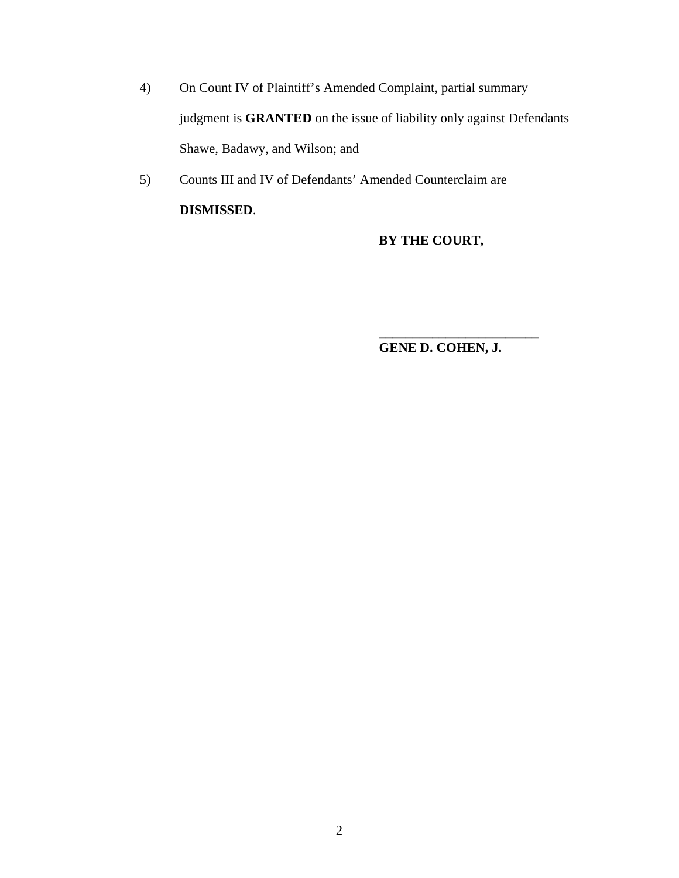- 4) On Count IV of Plaintiff's Amended Complaint, partial summary judgment is **GRANTED** on the issue of liability only against Defendants Shawe, Badawy, and Wilson; and
- 5) Counts III and IV of Defendants' Amended Counterclaim are **DISMISSED**.

 $\frac{1}{2}$  ,  $\frac{1}{2}$  ,  $\frac{1}{2}$  ,  $\frac{1}{2}$  ,  $\frac{1}{2}$  ,  $\frac{1}{2}$  ,  $\frac{1}{2}$  ,  $\frac{1}{2}$  ,  $\frac{1}{2}$  ,  $\frac{1}{2}$  ,  $\frac{1}{2}$  ,  $\frac{1}{2}$  ,  $\frac{1}{2}$  ,  $\frac{1}{2}$  ,  $\frac{1}{2}$  ,  $\frac{1}{2}$  ,  $\frac{1}{2}$  ,  $\frac{1}{2}$  ,  $\frac{1$ 

# **BY THE COURT,**

 **GENE D. COHEN, J.**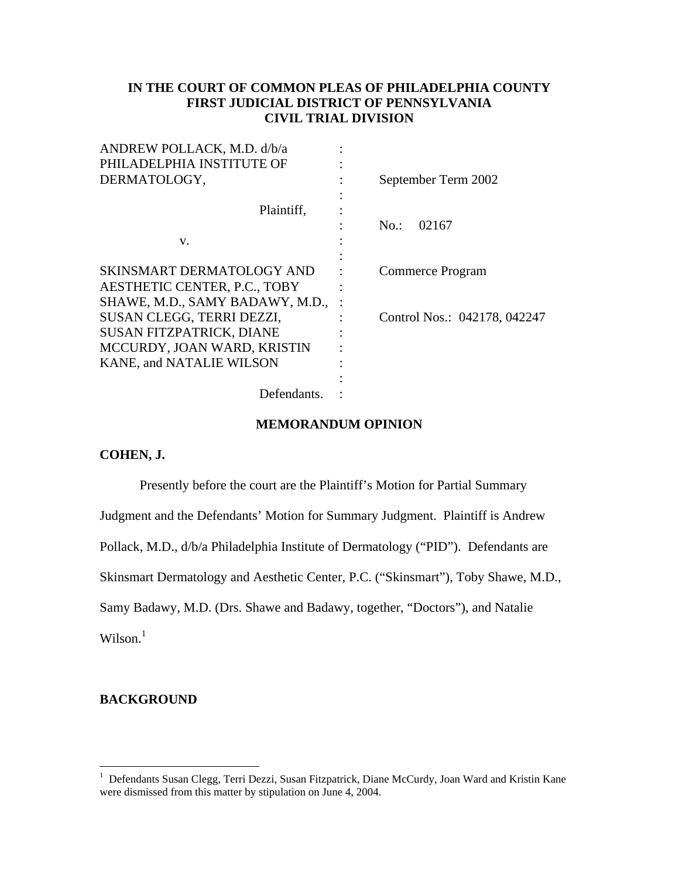## **IN THE COURT OF COMMON PLEAS OF PHILADELPHIA COUNTY FIRST JUDICIAL DISTRICT OF PENNSYLVANIA CIVIL TRIAL DIVISION**

| ANDREW POLLACK, M.D. d/b/a         |                              |
|------------------------------------|------------------------------|
| PHILADELPHIA INSTITUTE OF          |                              |
| DERMATOLOGY,                       | September Term 2002          |
|                                    |                              |
| Plaintiff,                         |                              |
|                                    | $No.$ :<br>02167             |
| V.                                 |                              |
|                                    |                              |
| SKINSMART DERMATOLOGY AND          | Commerce Program             |
| AESTHETIC CENTER, P.C., TOBY       |                              |
| SHAWE, M.D., SAMY BADAWY, M.D.,    |                              |
| SUSAN CLEGG, TERRI DEZZI,          | Control Nos.: 042178, 042247 |
| <b>SUSAN FITZPATRICK, DIANE</b>    |                              |
| MCCURDY, JOAN WARD, KRISTIN        |                              |
| <b>KANE, and NATALIE WILSON</b>    |                              |
|                                    |                              |
| $D = \int \cdot \cdot \cdot \cdot$ |                              |

Defendants. :

#### **MEMORANDUM OPINION**

#### **COHEN, J.**

Presently before the court are the Plaintiff's Motion for Partial Summary

Judgment and the Defendants' Motion for Summary Judgment. Plaintiff is Andrew

Pollack, M.D., d/b/a Philadelphia Institute of Dermatology ("PID"). Defendants are

Skinsmart Dermatology and Aesthetic Center, P.C. ("Skinsmart"), Toby Shawe, M.D.,

Samy Badawy, M.D. (Drs. Shawe and Badawy, together, "Doctors"), and Natalie

 $Wilson.<sup>1</sup>$ 

### **BACKGROUND**

<sup>1&</sup>lt;br><sup>1</sup> Defendants Susan Clegg, Terri Dezzi, Susan Fitzpatrick, Diane McCurdy, Joan Ward and Kristin Kane were dismissed from this matter by stipulation on June 4, 2004.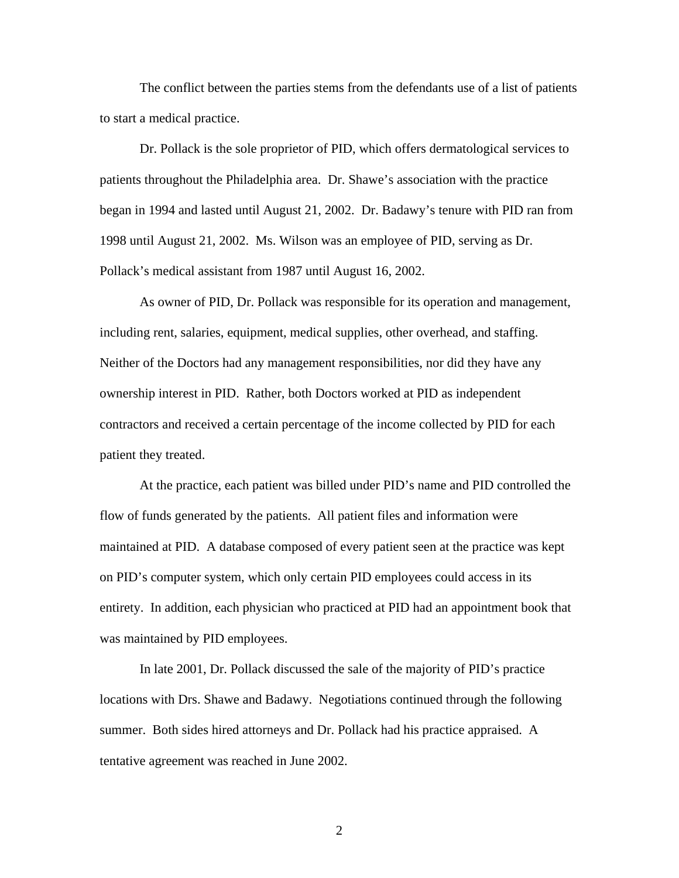The conflict between the parties stems from the defendants use of a list of patients to start a medical practice.

 Dr. Pollack is the sole proprietor of PID, which offers dermatological services to patients throughout the Philadelphia area. Dr. Shawe's association with the practice began in 1994 and lasted until August 21, 2002. Dr. Badawy's tenure with PID ran from 1998 until August 21, 2002. Ms. Wilson was an employee of PID, serving as Dr. Pollack's medical assistant from 1987 until August 16, 2002.

 As owner of PID, Dr. Pollack was responsible for its operation and management, including rent, salaries, equipment, medical supplies, other overhead, and staffing. Neither of the Doctors had any management responsibilities, nor did they have any ownership interest in PID. Rather, both Doctors worked at PID as independent contractors and received a certain percentage of the income collected by PID for each patient they treated.

At the practice, each patient was billed under PID's name and PID controlled the flow of funds generated by the patients. All patient files and information were maintained at PID. A database composed of every patient seen at the practice was kept on PID's computer system, which only certain PID employees could access in its entirety. In addition, each physician who practiced at PID had an appointment book that was maintained by PID employees.

In late 2001, Dr. Pollack discussed the sale of the majority of PID's practice locations with Drs. Shawe and Badawy. Negotiations continued through the following summer. Both sides hired attorneys and Dr. Pollack had his practice appraised. A tentative agreement was reached in June 2002.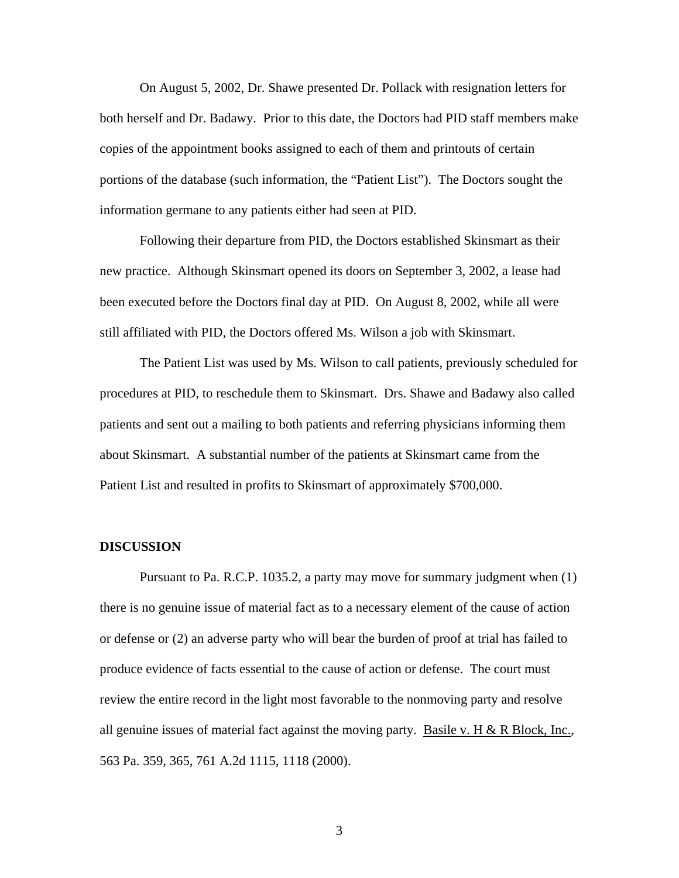On August 5, 2002, Dr. Shawe presented Dr. Pollack with resignation letters for both herself and Dr. Badawy. Prior to this date, the Doctors had PID staff members make copies of the appointment books assigned to each of them and printouts of certain portions of the database (such information, the "Patient List"). The Doctors sought the information germane to any patients either had seen at PID.

Following their departure from PID, the Doctors established Skinsmart as their new practice. Although Skinsmart opened its doors on September 3, 2002, a lease had been executed before the Doctors final day at PID. On August 8, 2002, while all were still affiliated with PID, the Doctors offered Ms. Wilson a job with Skinsmart.

 The Patient List was used by Ms. Wilson to call patients, previously scheduled for procedures at PID, to reschedule them to Skinsmart. Drs. Shawe and Badawy also called patients and sent out a mailing to both patients and referring physicians informing them about Skinsmart. A substantial number of the patients at Skinsmart came from the Patient List and resulted in profits to Skinsmart of approximately \$700,000.

#### **DISCUSSION**

 Pursuant to Pa. R.C.P. 1035.2, a party may move for summary judgment when (1) there is no genuine issue of material fact as to a necessary element of the cause of action or defense or (2) an adverse party who will bear the burden of proof at trial has failed to produce evidence of facts essential to the cause of action or defense. The court must review the entire record in the light most favorable to the nonmoving party and resolve all genuine issues of material fact against the moving party. Basile v. H & R Block, Inc., 563 Pa. 359, 365, 761 A.2d 1115, 1118 (2000).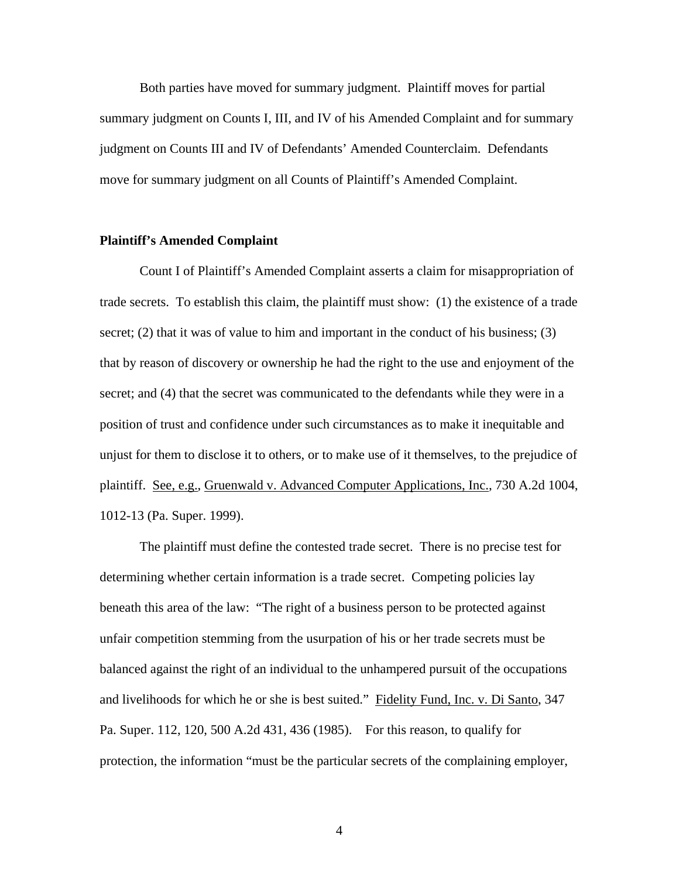Both parties have moved for summary judgment. Plaintiff moves for partial summary judgment on Counts I, III, and IV of his Amended Complaint and for summary judgment on Counts III and IV of Defendants' Amended Counterclaim. Defendants move for summary judgment on all Counts of Plaintiff's Amended Complaint.

#### **Plaintiff's Amended Complaint**

Count I of Plaintiff's Amended Complaint asserts a claim for misappropriation of trade secrets. To establish this claim, the plaintiff must show: (1) the existence of a trade secret; (2) that it was of value to him and important in the conduct of his business; (3) that by reason of discovery or ownership he had the right to the use and enjoyment of the secret; and (4) that the secret was communicated to the defendants while they were in a position of trust and confidence under such circumstances as to make it inequitable and unjust for them to disclose it to others, or to make use of it themselves, to the prejudice of plaintiff. See, e.g., Gruenwald v. Advanced Computer Applications, Inc., 730 A.2d 1004, 1012-13 (Pa. Super. 1999).

The plaintiff must define the contested trade secret. There is no precise test for determining whether certain information is a trade secret. Competing policies lay beneath this area of the law: "The right of a business person to be protected against unfair competition stemming from the usurpation of his or her trade secrets must be balanced against the right of an individual to the unhampered pursuit of the occupations and livelihoods for which he or she is best suited." Fidelity Fund, Inc. v. Di Santo, 347 Pa. Super. 112, 120, 500 A.2d 431, 436 (1985). For this reason, to qualify for protection, the information "must be the particular secrets of the complaining employer,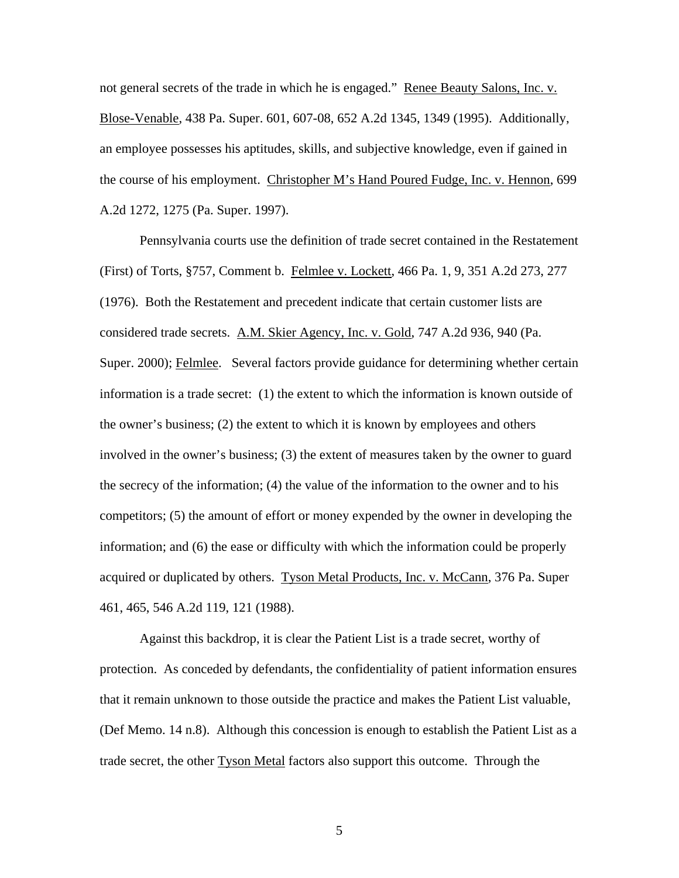not general secrets of the trade in which he is engaged." Renee Beauty Salons, Inc. v. Blose-Venable, 438 Pa. Super. 601, 607-08, 652 A.2d 1345, 1349 (1995). Additionally, an employee possesses his aptitudes, skills, and subjective knowledge, even if gained in the course of his employment. Christopher M's Hand Poured Fudge, Inc. v. Hennon, 699 A.2d 1272, 1275 (Pa. Super. 1997).

Pennsylvania courts use the definition of trade secret contained in the Restatement (First) of Torts, §757, Comment b. Felmlee v. Lockett, 466 Pa. 1, 9, 351 A.2d 273, 277 (1976). Both the Restatement and precedent indicate that certain customer lists are considered trade secrets. A.M. Skier Agency, Inc. v. Gold, 747 A.2d 936, 940 (Pa. Super. 2000); Felmlee. Several factors provide guidance for determining whether certain information is a trade secret: (1) the extent to which the information is known outside of the owner's business; (2) the extent to which it is known by employees and others involved in the owner's business; (3) the extent of measures taken by the owner to guard the secrecy of the information; (4) the value of the information to the owner and to his competitors; (5) the amount of effort or money expended by the owner in developing the information; and (6) the ease or difficulty with which the information could be properly acquired or duplicated by others. Tyson Metal Products, Inc. v. McCann, 376 Pa. Super 461, 465, 546 A.2d 119, 121 (1988).

Against this backdrop, it is clear the Patient List is a trade secret, worthy of protection. As conceded by defendants, the confidentiality of patient information ensures that it remain unknown to those outside the practice and makes the Patient List valuable, (Def Memo. 14 n.8). Although this concession is enough to establish the Patient List as a trade secret, the other Tyson Metal factors also support this outcome. Through the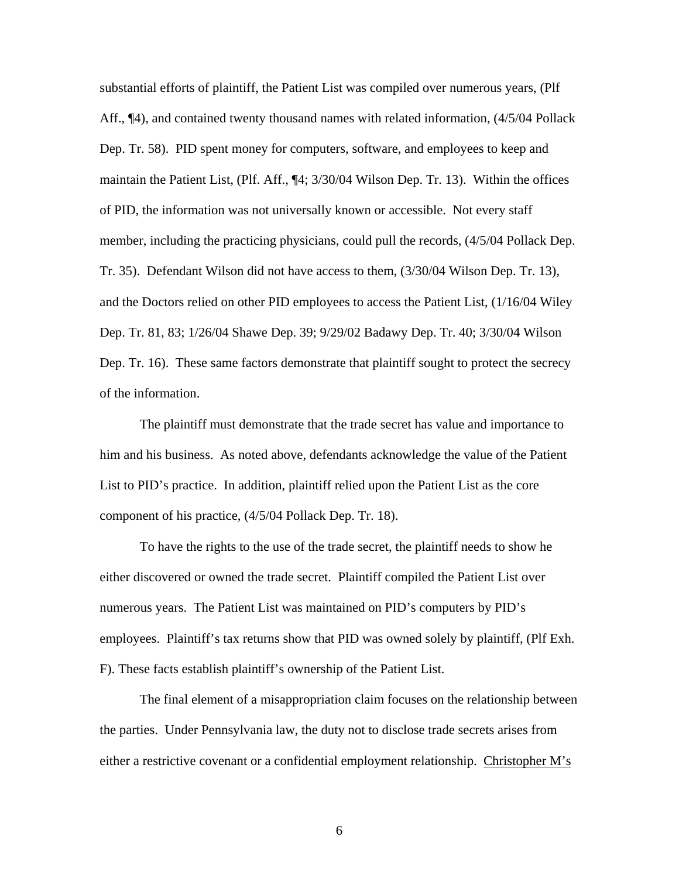substantial efforts of plaintiff, the Patient List was compiled over numerous years, (Plf Aff., ¶4), and contained twenty thousand names with related information, (4/5/04 Pollack Dep. Tr. 58). PID spent money for computers, software, and employees to keep and maintain the Patient List, (Plf. Aff., ¶4; 3/30/04 Wilson Dep. Tr. 13). Within the offices of PID, the information was not universally known or accessible. Not every staff member, including the practicing physicians, could pull the records, (4/5/04 Pollack Dep. Tr. 35). Defendant Wilson did not have access to them, (3/30/04 Wilson Dep. Tr. 13), and the Doctors relied on other PID employees to access the Patient List, (1/16/04 Wiley Dep. Tr. 81, 83; 1/26/04 Shawe Dep. 39; 9/29/02 Badawy Dep. Tr. 40; 3/30/04 Wilson Dep. Tr. 16). These same factors demonstrate that plaintiff sought to protect the secrecy of the information.

The plaintiff must demonstrate that the trade secret has value and importance to him and his business. As noted above, defendants acknowledge the value of the Patient List to PID's practice. In addition, plaintiff relied upon the Patient List as the core component of his practice, (4/5/04 Pollack Dep. Tr. 18).

To have the rights to the use of the trade secret, the plaintiff needs to show he either discovered or owned the trade secret. Plaintiff compiled the Patient List over numerous years. The Patient List was maintained on PID's computers by PID's employees. Plaintiff's tax returns show that PID was owned solely by plaintiff, (Plf Exh. F). These facts establish plaintiff's ownership of the Patient List.

The final element of a misappropriation claim focuses on the relationship between the parties. Under Pennsylvania law, the duty not to disclose trade secrets arises from either a restrictive covenant or a confidential employment relationship. Christopher M's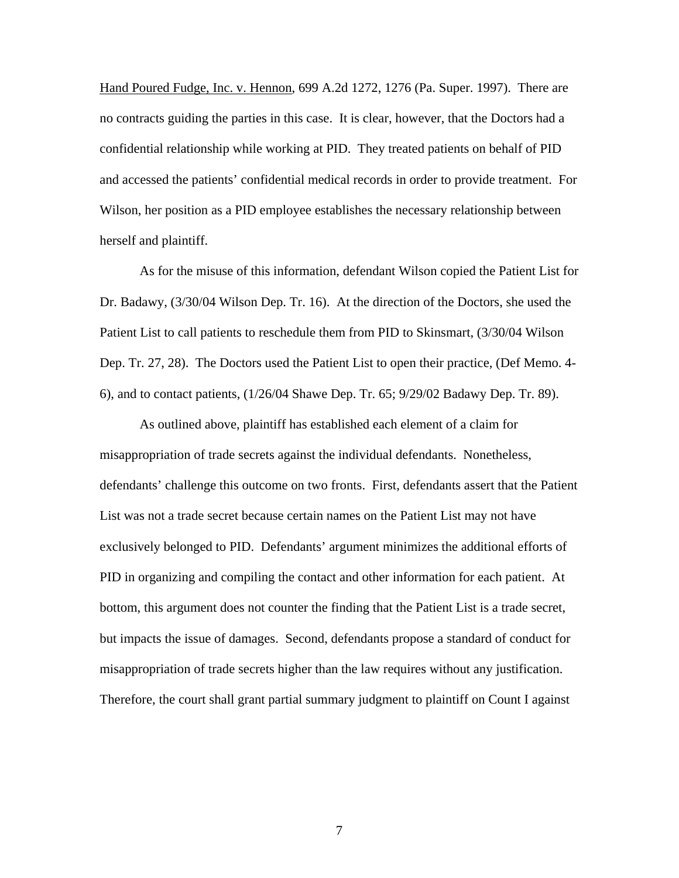Hand Poured Fudge, Inc. v. Hennon, 699 A.2d 1272, 1276 (Pa. Super. 1997). There are no contracts guiding the parties in this case. It is clear, however, that the Doctors had a confidential relationship while working at PID. They treated patients on behalf of PID and accessed the patients' confidential medical records in order to provide treatment. For Wilson, her position as a PID employee establishes the necessary relationship between herself and plaintiff.

As for the misuse of this information, defendant Wilson copied the Patient List for Dr. Badawy, (3/30/04 Wilson Dep. Tr. 16). At the direction of the Doctors, she used the Patient List to call patients to reschedule them from PID to Skinsmart, (3/30/04 Wilson Dep. Tr. 27, 28). The Doctors used the Patient List to open their practice, (Def Memo. 4- 6), and to contact patients, (1/26/04 Shawe Dep. Tr. 65; 9/29/02 Badawy Dep. Tr. 89).

As outlined above, plaintiff has established each element of a claim for misappropriation of trade secrets against the individual defendants. Nonetheless, defendants' challenge this outcome on two fronts. First, defendants assert that the Patient List was not a trade secret because certain names on the Patient List may not have exclusively belonged to PID. Defendants' argument minimizes the additional efforts of PID in organizing and compiling the contact and other information for each patient. At bottom, this argument does not counter the finding that the Patient List is a trade secret, but impacts the issue of damages. Second, defendants propose a standard of conduct for misappropriation of trade secrets higher than the law requires without any justification. Therefore, the court shall grant partial summary judgment to plaintiff on Count I against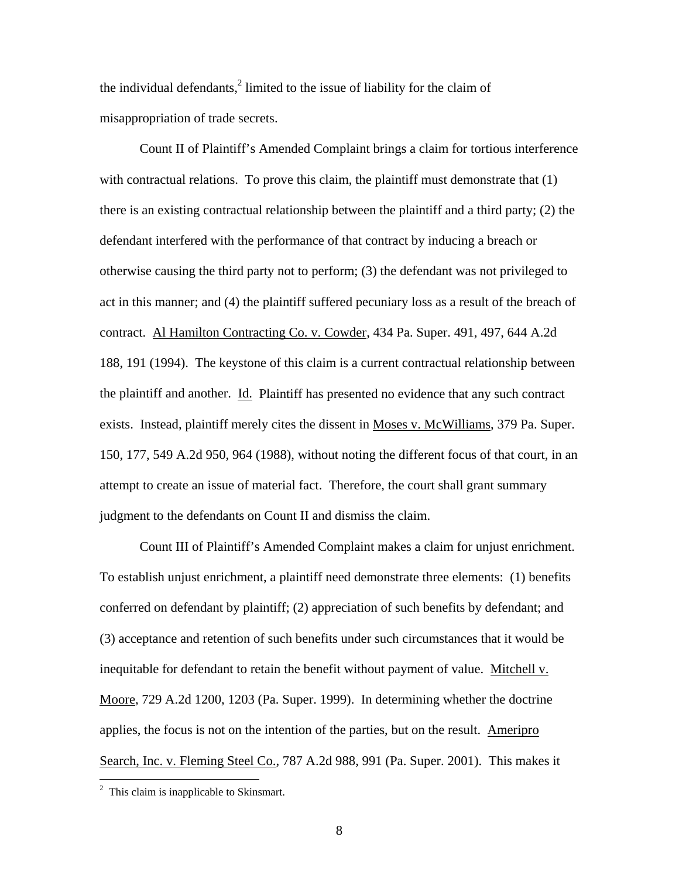the individual defendants, $^2$  limited to the issue of liability for the claim of misappropriation of trade secrets.

Count II of Plaintiff's Amended Complaint brings a claim for tortious interference with contractual relations. To prove this claim, the plaintiff must demonstrate that (1) there is an existing contractual relationship between the plaintiff and a third party; (2) the defendant interfered with the performance of that contract by inducing a breach or otherwise causing the third party not to perform; (3) the defendant was not privileged to act in this manner; and (4) the plaintiff suffered pecuniary loss as a result of the breach of contract. Al Hamilton Contracting Co. v. Cowder, 434 Pa. Super. 491, 497, 644 A.2d 188, 191 (1994). The keystone of this claim is a current contractual relationship between the plaintiff and another. Id. Plaintiff has presented no evidence that any such contract exists. Instead, plaintiff merely cites the dissent in Moses v. McWilliams, 379 Pa. Super. 150, 177, 549 A.2d 950, 964 (1988), without noting the different focus of that court, in an attempt to create an issue of material fact. Therefore, the court shall grant summary judgment to the defendants on Count II and dismiss the claim.

Count III of Plaintiff's Amended Complaint makes a claim for unjust enrichment. To establish unjust enrichment, a plaintiff need demonstrate three elements: (1) benefits conferred on defendant by plaintiff; (2) appreciation of such benefits by defendant; and (3) acceptance and retention of such benefits under such circumstances that it would be inequitable for defendant to retain the benefit without payment of value. Mitchell v. Moore, 729 A.2d 1200, 1203 (Pa. Super. 1999). In determining whether the doctrine applies, the focus is not on the intention of the parties, but on the result. Ameripro Search, Inc. v. Fleming Steel Co., 787 A.2d 988, 991 (Pa. Super. 2001). This makes it

 $\overline{a}$ 

 $2$  This claim is inapplicable to Skinsmart.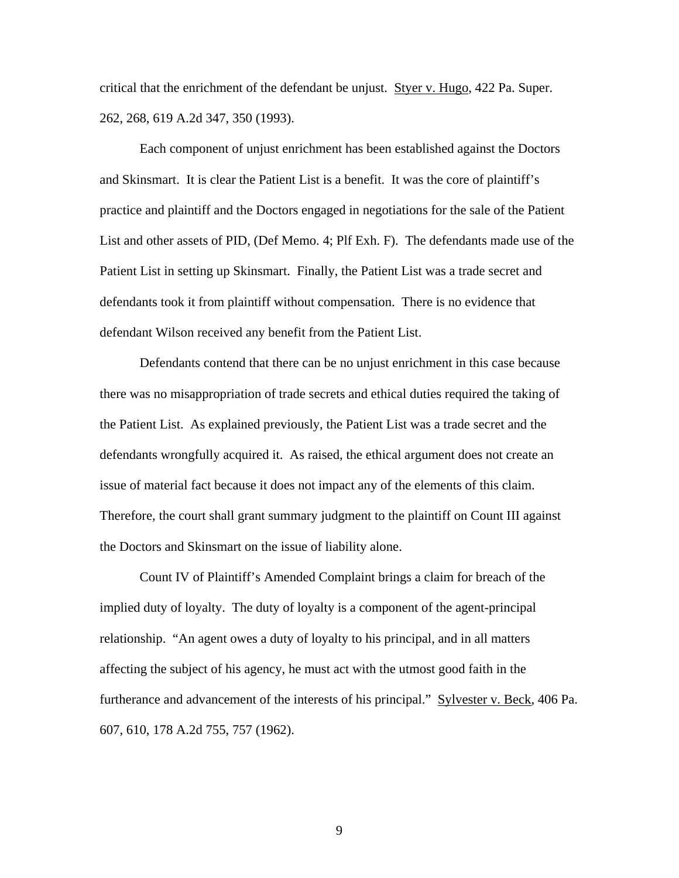critical that the enrichment of the defendant be unjust. Styer v. Hugo, 422 Pa. Super. 262, 268, 619 A.2d 347, 350 (1993).

Each component of unjust enrichment has been established against the Doctors and Skinsmart. It is clear the Patient List is a benefit. It was the core of plaintiff's practice and plaintiff and the Doctors engaged in negotiations for the sale of the Patient List and other assets of PID, (Def Memo. 4; Plf Exh. F). The defendants made use of the Patient List in setting up Skinsmart. Finally, the Patient List was a trade secret and defendants took it from plaintiff without compensation. There is no evidence that defendant Wilson received any benefit from the Patient List.

Defendants contend that there can be no unjust enrichment in this case because there was no misappropriation of trade secrets and ethical duties required the taking of the Patient List. As explained previously, the Patient List was a trade secret and the defendants wrongfully acquired it. As raised, the ethical argument does not create an issue of material fact because it does not impact any of the elements of this claim. Therefore, the court shall grant summary judgment to the plaintiff on Count III against the Doctors and Skinsmart on the issue of liability alone.

Count IV of Plaintiff's Amended Complaint brings a claim for breach of the implied duty of loyalty. The duty of loyalty is a component of the agent-principal relationship. "An agent owes a duty of loyalty to his principal, and in all matters affecting the subject of his agency, he must act with the utmost good faith in the furtherance and advancement of the interests of his principal." Sylvester v. Beck, 406 Pa. 607, 610, 178 A.2d 755, 757 (1962).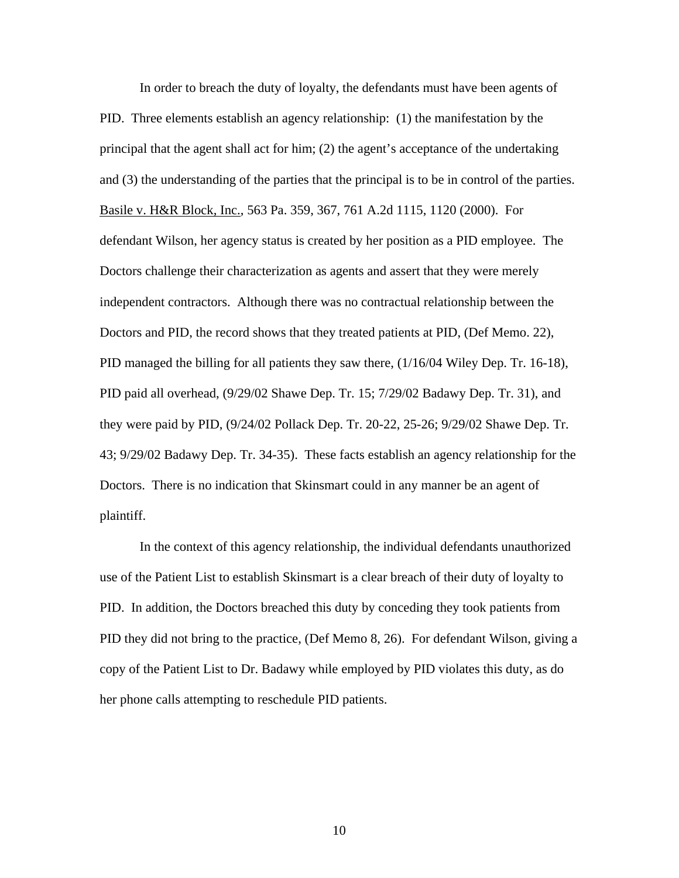In order to breach the duty of loyalty, the defendants must have been agents of PID. Three elements establish an agency relationship: (1) the manifestation by the principal that the agent shall act for him; (2) the agent's acceptance of the undertaking and (3) the understanding of the parties that the principal is to be in control of the parties. Basile v. H&R Block, Inc., 563 Pa. 359, 367, 761 A.2d 1115, 1120 (2000). For defendant Wilson, her agency status is created by her position as a PID employee. The Doctors challenge their characterization as agents and assert that they were merely independent contractors. Although there was no contractual relationship between the Doctors and PID, the record shows that they treated patients at PID, (Def Memo. 22), PID managed the billing for all patients they saw there, (1/16/04 Wiley Dep. Tr. 16-18), PID paid all overhead, (9/29/02 Shawe Dep. Tr. 15; 7/29/02 Badawy Dep. Tr. 31), and they were paid by PID, (9/24/02 Pollack Dep. Tr. 20-22, 25-26; 9/29/02 Shawe Dep. Tr. 43; 9/29/02 Badawy Dep. Tr. 34-35). These facts establish an agency relationship for the Doctors. There is no indication that Skinsmart could in any manner be an agent of plaintiff.

In the context of this agency relationship, the individual defendants unauthorized use of the Patient List to establish Skinsmart is a clear breach of their duty of loyalty to PID. In addition, the Doctors breached this duty by conceding they took patients from PID they did not bring to the practice, (Def Memo 8, 26). For defendant Wilson, giving a copy of the Patient List to Dr. Badawy while employed by PID violates this duty, as do her phone calls attempting to reschedule PID patients.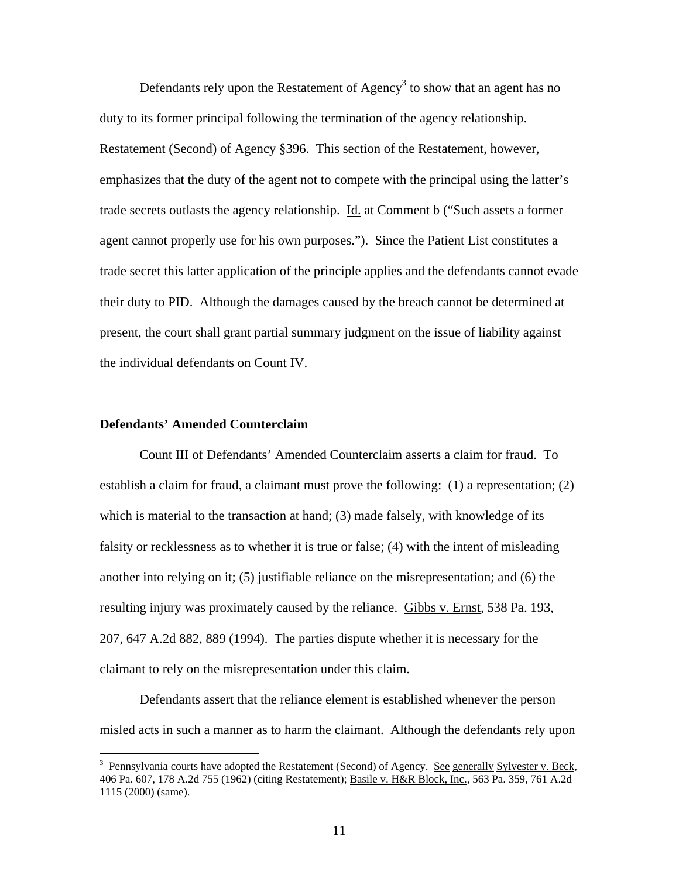Defendants rely upon the Restatement of Agency<sup>3</sup> to show that an agent has no duty to its former principal following the termination of the agency relationship. Restatement (Second) of Agency §396. This section of the Restatement, however, emphasizes that the duty of the agent not to compete with the principal using the latter's trade secrets outlasts the agency relationship. Id. at Comment b ("Such assets a former agent cannot properly use for his own purposes."). Since the Patient List constitutes a trade secret this latter application of the principle applies and the defendants cannot evade their duty to PID. Although the damages caused by the breach cannot be determined at present, the court shall grant partial summary judgment on the issue of liability against the individual defendants on Count IV.

#### **Defendants' Amended Counterclaim**

 $\overline{a}$ 

 Count III of Defendants' Amended Counterclaim asserts a claim for fraud. To establish a claim for fraud, a claimant must prove the following: (1) a representation; (2) which is material to the transaction at hand; (3) made falsely, with knowledge of its falsity or recklessness as to whether it is true or false; (4) with the intent of misleading another into relying on it; (5) justifiable reliance on the misrepresentation; and (6) the resulting injury was proximately caused by the reliance. Gibbs v. Ernst, 538 Pa. 193, 207, 647 A.2d 882, 889 (1994). The parties dispute whether it is necessary for the claimant to rely on the misrepresentation under this claim.

 Defendants assert that the reliance element is established whenever the person misled acts in such a manner as to harm the claimant. Although the defendants rely upon

<sup>&</sup>lt;sup>3</sup> Pennsylvania courts have adopted the Restatement (Second) of Agency. See generally Sylvester v. Beck, 406 Pa. 607, 178 A.2d 755 (1962) (citing Restatement); Basile v. H&R Block, Inc., 563 Pa. 359, 761 A.2d 1115 (2000) (same).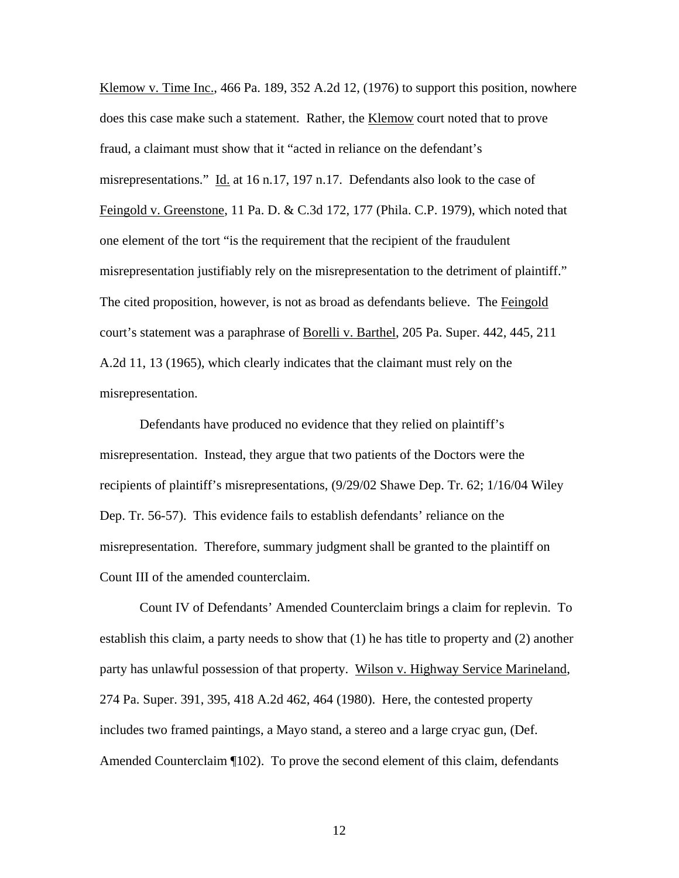Klemow v. Time Inc.,  $466$  Pa. 189,  $352$  A.2d 12, (1976) to support this position, nowhere does this case make such a statement. Rather, the Klemow court noted that to prove fraud, a claimant must show that it "acted in reliance on the defendant's misrepresentations." Id. at 16 n.17, 197 n.17. Defendants also look to the case of Feingold v. Greenstone, 11 Pa. D. & C.3d 172, 177 (Phila. C.P. 1979), which noted that one element of the tort "is the requirement that the recipient of the fraudulent misrepresentation justifiably rely on the misrepresentation to the detriment of plaintiff." The cited proposition, however, is not as broad as defendants believe. The Feingold court's statement was a paraphrase of Borelli v. Barthel, 205 Pa. Super. 442, 445, 211 A.2d 11, 13 (1965), which clearly indicates that the claimant must rely on the misrepresentation.

Defendants have produced no evidence that they relied on plaintiff's misrepresentation. Instead, they argue that two patients of the Doctors were the recipients of plaintiff's misrepresentations, (9/29/02 Shawe Dep. Tr. 62; 1/16/04 Wiley Dep. Tr. 56-57). This evidence fails to establish defendants' reliance on the misrepresentation. Therefore, summary judgment shall be granted to the plaintiff on Count III of the amended counterclaim.

Count IV of Defendants' Amended Counterclaim brings a claim for replevin. To establish this claim, a party needs to show that (1) he has title to property and (2) another party has unlawful possession of that property. Wilson v. Highway Service Marineland, 274 Pa. Super. 391, 395, 418 A.2d 462, 464 (1980). Here, the contested property includes two framed paintings, a Mayo stand, a stereo and a large cryac gun, (Def. Amended Counterclaim ¶102). To prove the second element of this claim, defendants